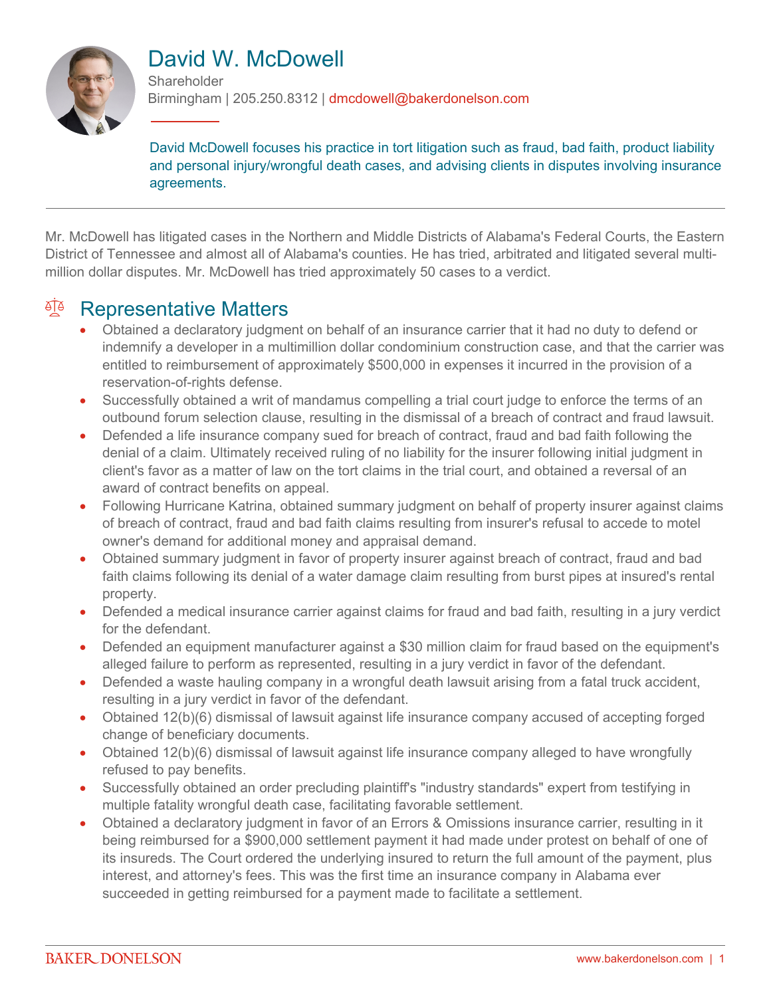

# David W. McDowell

**Shareholder** Birmingham | 205.250.8312 | dmcdowell@bakerdonelson.com

David McDowell focuses his practice in tort litigation such as fraud, bad faith, product liability and personal injury/wrongful death cases, and advising clients in disputes involving insurance agreements.

Mr. McDowell has litigated cases in the Northern and Middle Districts of Alabama's Federal Courts, the Eastern District of Tennessee and almost all of Alabama's counties. He has tried, arbitrated and litigated several multimillion dollar disputes. Mr. McDowell has tried approximately 50 cases to a verdict.

#### **Representative Matters**

- Obtained a declaratory judgment on behalf of an insurance carrier that it had no duty to defend or indemnify a developer in a multimillion dollar condominium construction case, and that the carrier was entitled to reimbursement of approximately \$500,000 in expenses it incurred in the provision of a reservation-of-rights defense.
- Successfully obtained a writ of mandamus compelling a trial court judge to enforce the terms of an outbound forum selection clause, resulting in the dismissal of a breach of contract and fraud lawsuit.
- Defended a life insurance company sued for breach of contract, fraud and bad faith following the denial of a claim. Ultimately received ruling of no liability for the insurer following initial judgment in client's favor as a matter of law on the tort claims in the trial court, and obtained a reversal of an award of contract benefits on appeal.
- Following Hurricane Katrina, obtained summary judgment on behalf of property insurer against claims of breach of contract, fraud and bad faith claims resulting from insurer's refusal to accede to motel owner's demand for additional money and appraisal demand.
- Obtained summary judgment in favor of property insurer against breach of contract, fraud and bad faith claims following its denial of a water damage claim resulting from burst pipes at insured's rental property.
- Defended a medical insurance carrier against claims for fraud and bad faith, resulting in a jury verdict for the defendant.
- Defended an equipment manufacturer against a \$30 million claim for fraud based on the equipment's alleged failure to perform as represented, resulting in a jury verdict in favor of the defendant.
- Defended a waste hauling company in a wrongful death lawsuit arising from a fatal truck accident, resulting in a jury verdict in favor of the defendant.
- Obtained 12(b)(6) dismissal of lawsuit against life insurance company accused of accepting forged change of beneficiary documents.
- Obtained 12(b)(6) dismissal of lawsuit against life insurance company alleged to have wrongfully refused to pay benefits.
- Successfully obtained an order precluding plaintiff's "industry standards" expert from testifying in multiple fatality wrongful death case, facilitating favorable settlement.
- Obtained a declaratory judgment in favor of an Errors & Omissions insurance carrier, resulting in it being reimbursed for a \$900,000 settlement payment it had made under protest on behalf of one of its insureds. The Court ordered the underlying insured to return the full amount of the payment, plus interest, and attorney's fees. This was the first time an insurance company in Alabama ever succeeded in getting reimbursed for a payment made to facilitate a settlement.